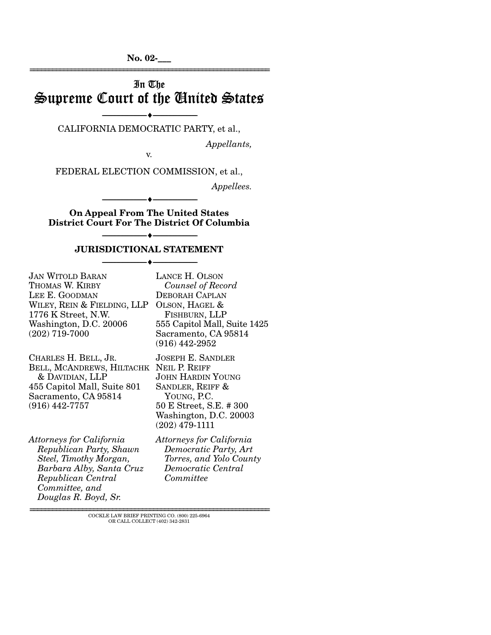**No. 02-\_\_\_**  ================================================================

# In The Supreme Court of the United States

----♦-- -

----♦-- -

----♦-- -

LANCE H. OLSON

----------------------------- ------------------------------ CALIFORNIA DEMOCRATIC PARTY, et al.,

*Appellants,* 

v.

FEDERAL ELECTION COMMISSION, et al.,

*Appellees.* 

**On Appeal From The United States District Court For The District Of Columbia** 

----------------------------- ------------------------------

## ----------------------------- ------------------------------ ----------------------------- ------------------------------ ----♦-- - **JURISDICTIONAL STATEMENT**

JAN WITOLD BARAN THOMAS W. KIRBY LEE E. GOODMAN WILEY, REIN & FIELDING, LLP OLSON, HAGEL & 1776 K Street, N.W. Washington, D.C. 20006 (202) 719-7000

CHARLES H. BELL, JR. BELL, MCANDREWS, HILTACHK NEIL P. REIFF & DAVIDIAN, LLP 455 Capitol Mall, Suite 801 Sacramento, CA 95814 (916) 442-7757

*Attorneys for California Republican Party, Shawn Steel, Timothy Morgan, Barbara Alby, Santa Cruz Republican Central Committee, and Douglas R. Boyd, Sr.* 

*Counsel of Record*  DEBORAH CAPLAN FISHBURN, LLP 555 Capitol Mall, Suite 1425 Sacramento, CA 95814 (916) 442-2952 JOSEPH E. SANDLER JOHN HARDIN YOUNG SANDLER, REIFF & YOUNG, P.C. 50 E Street, S.E. # 300 Washington, D.C. 20003 (202) 479-1111

*Attorneys for California Democratic Party, Art Torres, and Yolo County Democratic Central Committee* 

================================================================ COCKLE LAW BRIEF PRINTING CO. (800) 225-6964 OR CALL COLLECT (402) 342-2831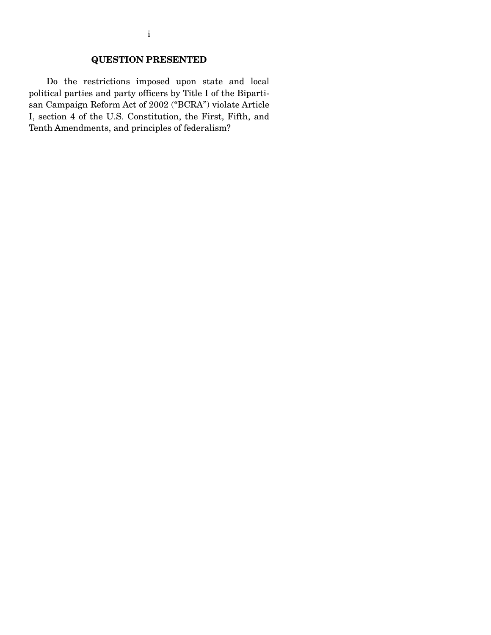## **QUESTION PRESENTED**

Do the restrictions imposed upon state and local political parties and party officers by Title I of the Bipartisan Campaign Reform Act of 2002 ("BCRA") violate Article I, section 4 of the U.S. Constitution, the First, Fifth, and Tenth Amendments, and principles of federalism?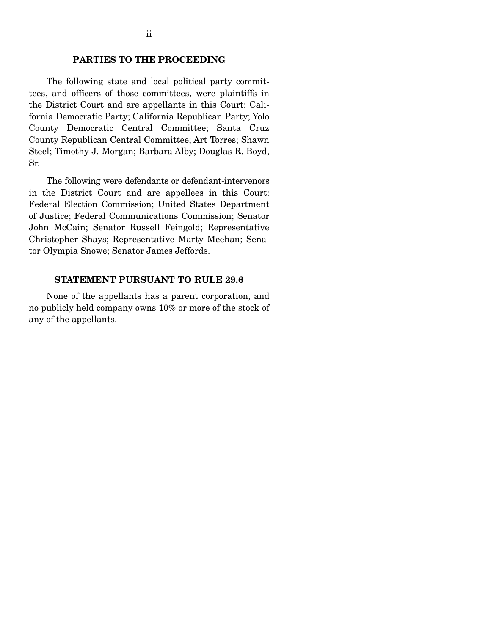### **PARTIES TO THE PROCEEDING**

The following state and local political party committees, and officers of those committees, were plaintiffs in the District Court and are appellants in this Court: California Democratic Party; California Republican Party; Yolo County Democratic Central Committee; Santa Cruz County Republican Central Committee; Art Torres; Shawn Steel; Timothy J. Morgan; Barbara Alby; Douglas R. Boyd, Sr.

The following were defendants or defendant-intervenors in the District Court and are appellees in this Court: Federal Election Commission; United States Department of Justice; Federal Communications Commission; Senator John McCain; Senator Russell Feingold; Representative Christopher Shays; Representative Marty Meehan; Senator Olympia Snowe; Senator James Jeffords.

#### **STATEMENT PURSUANT TO RULE 29.6**

None of the appellants has a parent corporation, and no publicly held company owns 10% or more of the stock of any of the appellants.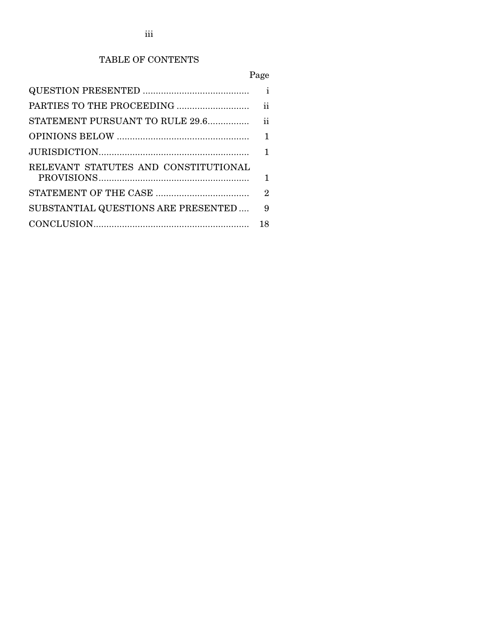## TABLE OF CONTENTS

# Page

|                                      | ii |  |
|--------------------------------------|----|--|
|                                      |    |  |
|                                      | 1  |  |
|                                      |    |  |
| RELEVANT STATUTES AND CONSTITUTIONAL |    |  |
|                                      |    |  |
|                                      | 2  |  |
| SUBSTANTIAL QUESTIONS ARE PRESENTED  | 9  |  |
|                                      | 18 |  |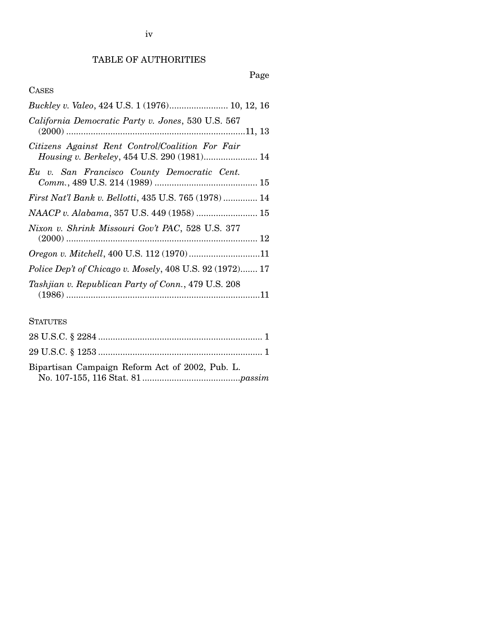## TABLE OF AUTHORITIES

## Page

## CASES

| Buckley v. Valeo, 424 U.S. 1 (1976) 10, 12, 16                                                  |
|-------------------------------------------------------------------------------------------------|
| California Democratic Party v. Jones, 530 U.S. 567                                              |
| Citizens Against Rent Control/Coalition For Fair<br>Housing v. Berkeley, 454 U.S. 290 (1981) 14 |
| Eu v. San Francisco County Democratic Cent.                                                     |
| <i>First Nat'l Bank v. Bellotti, 435 U.S. 765 (1978)</i> 14                                     |
|                                                                                                 |
| Nixon v. Shrink Missouri Gov't PAC, 528 U.S. 377                                                |
| Oregon v. Mitchell, 400 U.S. 112 (1970)11                                                       |
| Police Dep't of Chicago v. Mosely, 408 U.S. 92 (1972) 17                                        |
| Tashjian v. Republican Party of Conn., 479 U.S. 208                                             |

## **STATUTES**

| Bipartisan Campaign Reform Act of 2002, Pub. L. |  |
|-------------------------------------------------|--|
|                                                 |  |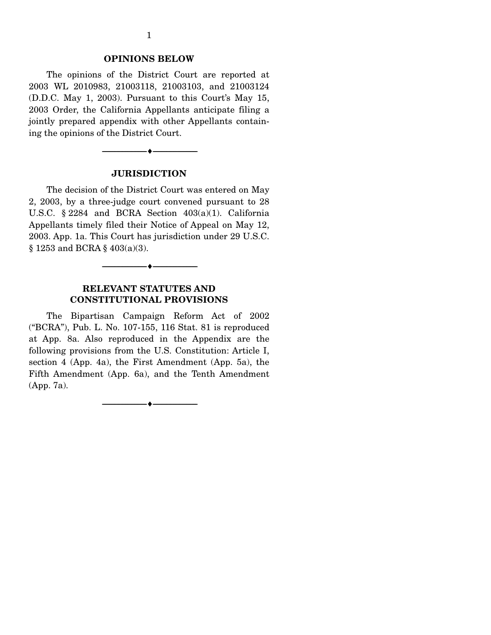#### **OPINIONS BELOW**

The opinions of the District Court are reported at 2003 WL 2010983, 21003118, 21003103, and 21003124 (D.D.C. May 1, 2003). Pursuant to this Court's May 15, 2003 Order, the California Appellants anticipate filing a jointly prepared appendix with other Appellants containing the opinions of the District Court.



#### **JURISDICTION**

The decision of the District Court was entered on May 2, 2003, by a three-judge court convened pursuant to 28 U.S.C. § 2284 and BCRA Section 403(a)(1). California Appellants timely filed their Notice of Appeal on May 12, 2003. App. 1a. This Court has jurisdiction under 29 U.S.C. § 1253 and BCRA § 403(a)(3).



### **RELEVANT STATUTES AND CONSTITUTIONAL PROVISIONS**

The Bipartisan Campaign Reform Act of 2002 ("BCRA"), Pub. L. No. 107-155, 116 Stat. 81 is reproduced at App. 8a. Also reproduced in the Appendix are the following provisions from the U.S. Constitution: Article I, section 4 (App. 4a), the First Amendment (App. 5a), the Fifth Amendment (App. 6a), and the Tenth Amendment (App. 7a).

> ----------------------------- ------------------------------ ----♦-- -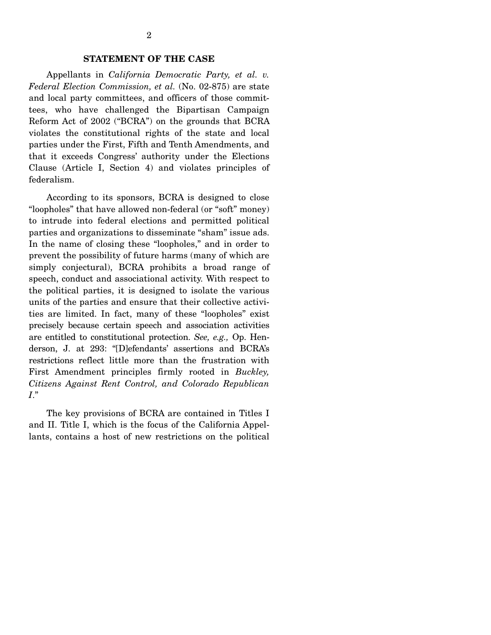#### **STATEMENT OF THE CASE**

Appellants in *California Democratic Party, et al. v. Federal Election Commission, et al.* (No. 02-875) are state and local party committees, and officers of those committees, who have challenged the Bipartisan Campaign Reform Act of 2002 ("BCRA") on the grounds that BCRA violates the constitutional rights of the state and local parties under the First, Fifth and Tenth Amendments, and that it exceeds Congress' authority under the Elections Clause (Article I, Section 4) and violates principles of federalism.

According to its sponsors, BCRA is designed to close "loopholes" that have allowed non-federal (or "soft" money) to intrude into federal elections and permitted political parties and organizations to disseminate "sham" issue ads. In the name of closing these "loopholes," and in order to prevent the possibility of future harms (many of which are simply conjectural), BCRA prohibits a broad range of speech, conduct and associational activity. With respect to the political parties, it is designed to isolate the various units of the parties and ensure that their collective activities are limited. In fact, many of these "loopholes" exist precisely because certain speech and association activities are entitled to constitutional protection. *See, e.g.,* Op. Henderson, J. at 293: "[D]efendants' assertions and BCRA's restrictions reflect little more than the frustration with First Amendment principles firmly rooted in *Buckley, Citizens Against Rent Control, and Colorado Republican I*."

The key provisions of BCRA are contained in Titles I and II. Title I, which is the focus of the California Appellants, contains a host of new restrictions on the political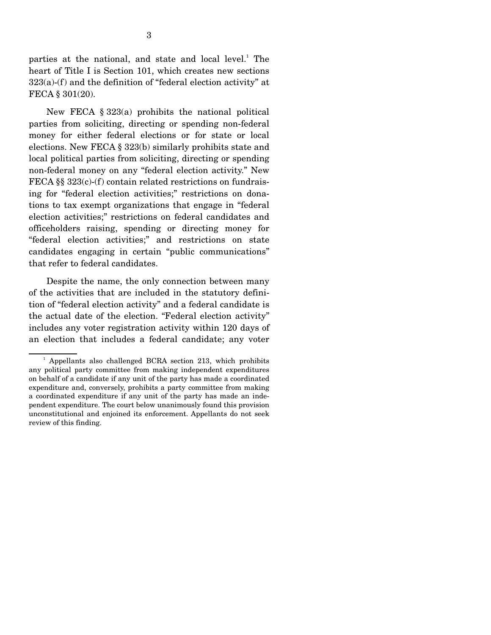parties at the national, and state and local level.<sup>1</sup> The heart of Title I is Section 101, which creates new sections 323(a)-(f) and the definition of "federal election activity" at FECA § 301(20).

New FECA § 323(a) prohibits the national political parties from soliciting, directing or spending non-federal money for either federal elections or for state or local elections. New FECA § 323(b) similarly prohibits state and local political parties from soliciting, directing or spending non-federal money on any "federal election activity." New FECA §§ 323(c)-(f) contain related restrictions on fundraising for "federal election activities;" restrictions on donations to tax exempt organizations that engage in "federal election activities;" restrictions on federal candidates and officeholders raising, spending or directing money for "federal election activities;" and restrictions on state candidates engaging in certain "public communications" that refer to federal candidates.

Despite the name, the only connection between many of the activities that are included in the statutory definition of "federal election activity" and a federal candidate is the actual date of the election. "Federal election activity" includes any voter registration activity within 120 days of an election that includes a federal candidate; any voter

<sup>1</sup> Appellants also challenged BCRA section 213, which prohibits any political party committee from making independent expenditures on behalf of a candidate if any unit of the party has made a coordinated expenditure and, conversely, prohibits a party committee from making a coordinated expenditure if any unit of the party has made an independent expenditure. The court below unanimously found this provision unconstitutional and enjoined its enforcement. Appellants do not seek review of this finding.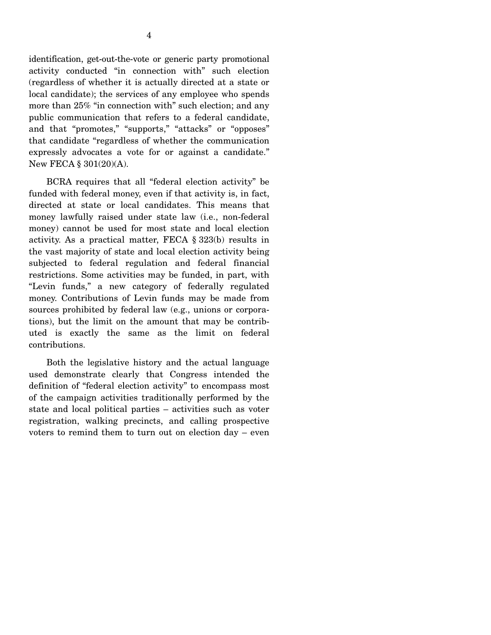4

activity conducted "in connection with" such election (regardless of whether it is actually directed at a state or local candidate); the services of any employee who spends more than 25% "in connection with" such election; and any public communication that refers to a federal candidate, and that "promotes," "supports," "attacks" or "opposes" that candidate "regardless of whether the communication expressly advocates a vote for or against a candidate." New FECA § 301(20)(A).

BCRA requires that all "federal election activity" be funded with federal money, even if that activity is, in fact, directed at state or local candidates. This means that money lawfully raised under state law (i.e., non-federal money) cannot be used for most state and local election activity. As a practical matter, FECA § 323(b) results in the vast majority of state and local election activity being subjected to federal regulation and federal financial restrictions. Some activities may be funded, in part, with "Levin funds," a new category of federally regulated money. Contributions of Levin funds may be made from sources prohibited by federal law (e.g., unions or corporations), but the limit on the amount that may be contributed is exactly the same as the limit on federal contributions.

Both the legislative history and the actual language used demonstrate clearly that Congress intended the definition of "federal election activity" to encompass most of the campaign activities traditionally performed by the state and local political parties – activities such as voter registration, walking precincts, and calling prospective voters to remind them to turn out on election day – even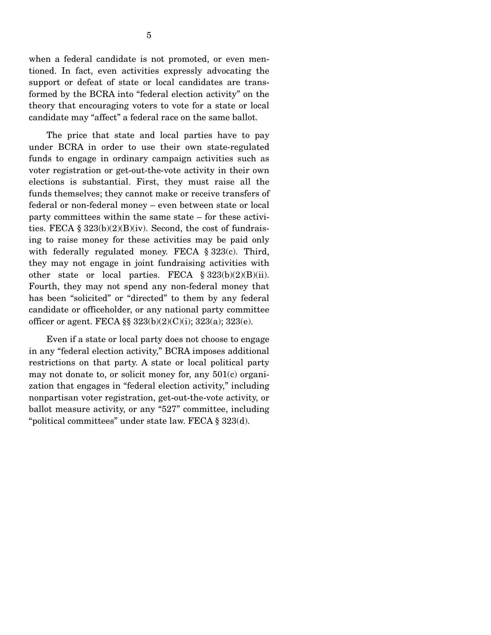when a federal candidate is not promoted, or even mentioned. In fact, even activities expressly advocating the support or defeat of state or local candidates are transformed by the BCRA into "federal election activity" on the theory that encouraging voters to vote for a state or local candidate may "affect" a federal race on the same ballot.

The price that state and local parties have to pay under BCRA in order to use their own state-regulated funds to engage in ordinary campaign activities such as voter registration or get-out-the-vote activity in their own elections is substantial. First, they must raise all the funds themselves; they cannot make or receive transfers of federal or non-federal money – even between state or local party committees within the same state – for these activities. FECA  $\S 323(b)(2)(B)(iv)$ . Second, the cost of fundraising to raise money for these activities may be paid only with federally regulated money. FECA § 323(c). Third, they may not engage in joint fundraising activities with other state or local parties. FECA  $\S 323(b)(2)(B)(ii)$ . Fourth, they may not spend any non-federal money that has been "solicited" or "directed" to them by any federal candidate or officeholder, or any national party committee officer or agent. FECA  $\S$   $323(b)(2)(C)(i)$ ;  $323(a)$ ;  $323(e)$ .

Even if a state or local party does not choose to engage in any "federal election activity," BCRA imposes additional restrictions on that party. A state or local political party may not donate to, or solicit money for, any 501(c) organization that engages in "federal election activity," including nonpartisan voter registration, get-out-the-vote activity, or ballot measure activity, or any "527" committee, including "political committees" under state law. FECA § 323(d).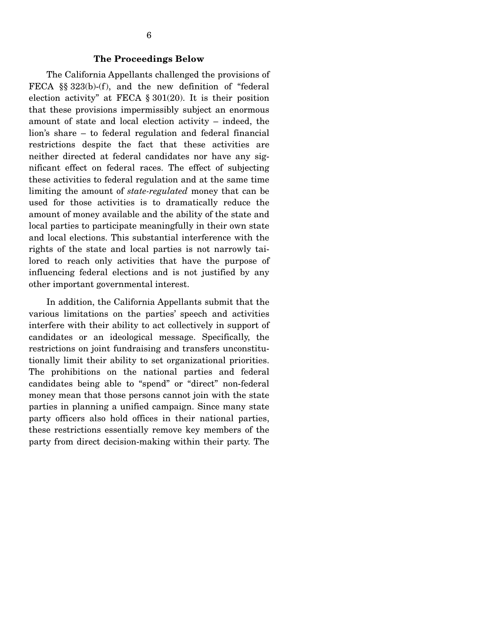#### **The Proceedings Below**

The California Appellants challenged the provisions of FECA §§ 323(b)-(f), and the new definition of "federal election activity" at FECA § 301(20). It is their position that these provisions impermissibly subject an enormous amount of state and local election activity – indeed, the lion's share – to federal regulation and federal financial restrictions despite the fact that these activities are neither directed at federal candidates nor have any significant effect on federal races. The effect of subjecting these activities to federal regulation and at the same time limiting the amount of *state-regulated* money that can be used for those activities is to dramatically reduce the amount of money available and the ability of the state and local parties to participate meaningfully in their own state and local elections. This substantial interference with the rights of the state and local parties is not narrowly tailored to reach only activities that have the purpose of influencing federal elections and is not justified by any other important governmental interest.

In addition, the California Appellants submit that the various limitations on the parties' speech and activities interfere with their ability to act collectively in support of candidates or an ideological message. Specifically, the restrictions on joint fundraising and transfers unconstitutionally limit their ability to set organizational priorities. The prohibitions on the national parties and federal candidates being able to "spend" or "direct" non-federal money mean that those persons cannot join with the state parties in planning a unified campaign. Since many state party officers also hold offices in their national parties, these restrictions essentially remove key members of the party from direct decision-making within their party. The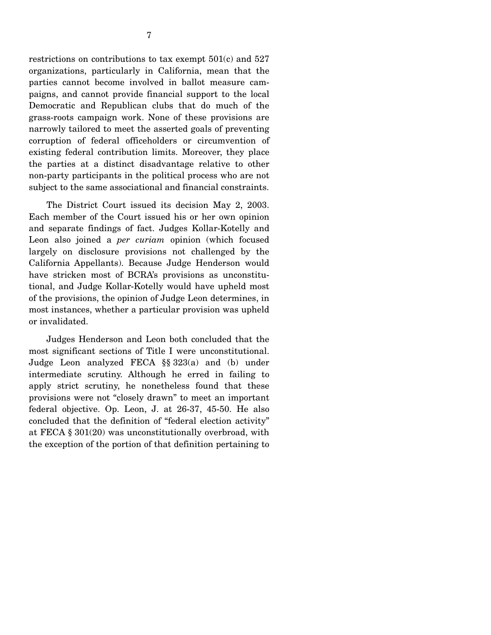restrictions on contributions to tax exempt 501(c) and 527 organizations, particularly in California, mean that the parties cannot become involved in ballot measure campaigns, and cannot provide financial support to the local Democratic and Republican clubs that do much of the grass-roots campaign work. None of these provisions are narrowly tailored to meet the asserted goals of preventing corruption of federal officeholders or circumvention of existing federal contribution limits. Moreover, they place the parties at a distinct disadvantage relative to other non-party participants in the political process who are not subject to the same associational and financial constraints.

The District Court issued its decision May 2, 2003. Each member of the Court issued his or her own opinion and separate findings of fact. Judges Kollar-Kotelly and Leon also joined a *per curiam* opinion (which focused largely on disclosure provisions not challenged by the California Appellants). Because Judge Henderson would have stricken most of BCRA's provisions as unconstitutional, and Judge Kollar-Kotelly would have upheld most of the provisions, the opinion of Judge Leon determines, in most instances, whether a particular provision was upheld or invalidated.

Judges Henderson and Leon both concluded that the most significant sections of Title I were unconstitutional. Judge Leon analyzed FECA §§ 323(a) and (b) under intermediate scrutiny. Although he erred in failing to apply strict scrutiny, he nonetheless found that these provisions were not "closely drawn" to meet an important federal objective. Op. Leon, J. at 26-37, 45-50. He also concluded that the definition of "federal election activity" at FECA § 301(20) was unconstitutionally overbroad, with the exception of the portion of that definition pertaining to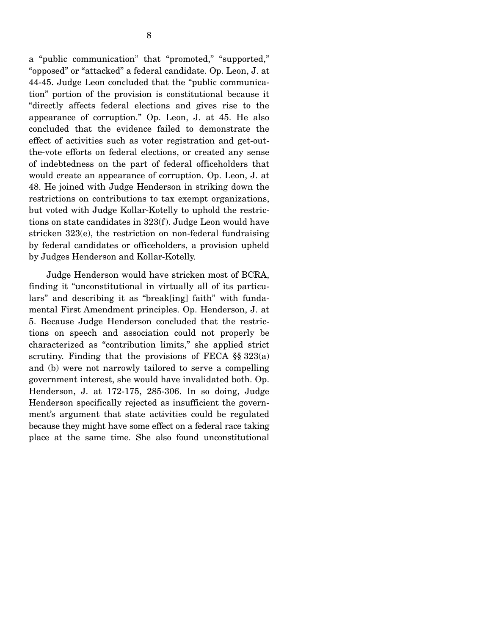a "public communication" that "promoted," "supported," "opposed" or "attacked" a federal candidate. Op. Leon, J. at 44-45. Judge Leon concluded that the "public communication" portion of the provision is constitutional because it "directly affects federal elections and gives rise to the appearance of corruption." Op. Leon, J. at 45. He also concluded that the evidence failed to demonstrate the effect of activities such as voter registration and get-outthe-vote efforts on federal elections, or created any sense of indebtedness on the part of federal officeholders that would create an appearance of corruption. Op. Leon, J. at 48. He joined with Judge Henderson in striking down the restrictions on contributions to tax exempt organizations, but voted with Judge Kollar-Kotelly to uphold the restrictions on state candidates in 323(f). Judge Leon would have stricken 323(e), the restriction on non-federal fundraising by federal candidates or officeholders, a provision upheld by Judges Henderson and Kollar-Kotelly.

Judge Henderson would have stricken most of BCRA, finding it "unconstitutional in virtually all of its particulars" and describing it as "break[ing] faith" with fundamental First Amendment principles. Op. Henderson, J. at 5. Because Judge Henderson concluded that the restrictions on speech and association could not properly be characterized as "contribution limits," she applied strict scrutiny. Finding that the provisions of FECA  $\S$ § 323(a) and (b) were not narrowly tailored to serve a compelling government interest, she would have invalidated both. Op. Henderson, J. at 172-175, 285-306. In so doing, Judge Henderson specifically rejected as insufficient the government's argument that state activities could be regulated because they might have some effect on a federal race taking place at the same time. She also found unconstitutional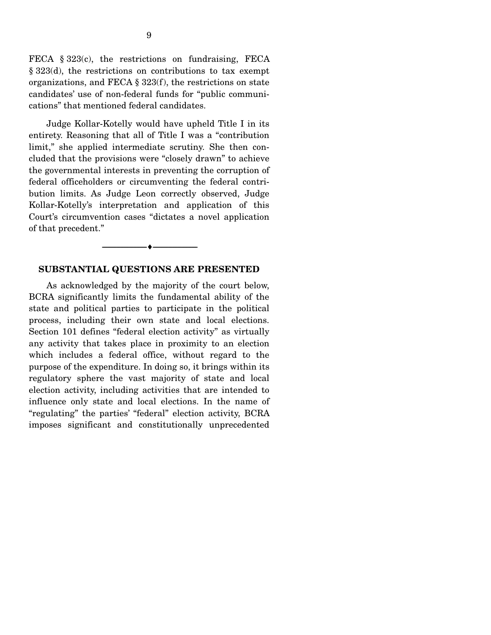FECA § 323(c), the restrictions on fundraising, FECA § 323(d), the restrictions on contributions to tax exempt organizations, and FECA § 323(f), the restrictions on state candidates' use of non-federal funds for "public communications" that mentioned federal candidates.

Judge Kollar-Kotelly would have upheld Title I in its entirety. Reasoning that all of Title I was a "contribution limit," she applied intermediate scrutiny. She then concluded that the provisions were "closely drawn" to achieve the governmental interests in preventing the corruption of federal officeholders or circumventing the federal contribution limits. As Judge Leon correctly observed, Judge Kollar-Kotelly's interpretation and application of this Court's circumvention cases "dictates a novel application of that precedent."

#### **SUBSTANTIAL QUESTIONS ARE PRESENTED**

----------------------------- ------------------------------

----♦-- -

As acknowledged by the majority of the court below, BCRA significantly limits the fundamental ability of the state and political parties to participate in the political process, including their own state and local elections. Section 101 defines "federal election activity" as virtually any activity that takes place in proximity to an election which includes a federal office, without regard to the purpose of the expenditure. In doing so, it brings within its regulatory sphere the vast majority of state and local election activity, including activities that are intended to influence only state and local elections. In the name of "regulating" the parties' "federal" election activity, BCRA imposes significant and constitutionally unprecedented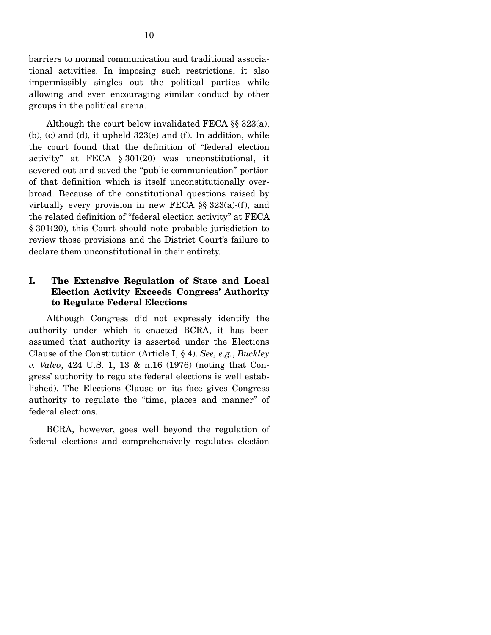barriers to normal communication and traditional associational activities. In imposing such restrictions, it also impermissibly singles out the political parties while allowing and even encouraging similar conduct by other groups in the political arena.

Although the court below invalidated FECA §§ 323(a),  $(b)$ ,  $(c)$  and  $(d)$ , it upheld  $323(e)$  and  $(f)$ . In addition, while the court found that the definition of "federal election activity" at FECA § 301(20) was unconstitutional, it severed out and saved the "public communication" portion of that definition which is itself unconstitutionally overbroad. Because of the constitutional questions raised by virtually every provision in new FECA  $\S$  323(a)-(f), and the related definition of "federal election activity" at FECA § 301(20), this Court should note probable jurisdiction to review those provisions and the District Court's failure to declare them unconstitutional in their entirety.

### **I. The Extensive Regulation of State and Local Election Activity Exceeds Congress' Authority to Regulate Federal Elections**

Although Congress did not expressly identify the authority under which it enacted BCRA, it has been assumed that authority is asserted under the Elections Clause of the Constitution (Article I, § 4). *See, e.g.*, *Buckley v. Valeo*, 424 U.S. 1, 13 & n.16 (1976) (noting that Congress' authority to regulate federal elections is well established). The Elections Clause on its face gives Congress authority to regulate the "time, places and manner" of federal elections.

BCRA, however, goes well beyond the regulation of federal elections and comprehensively regulates election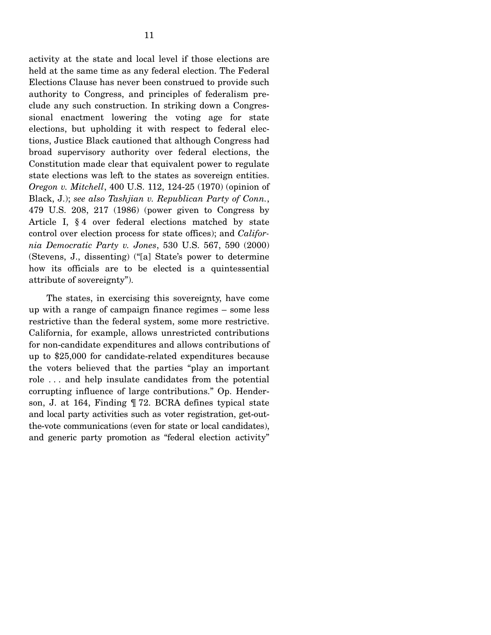activity at the state and local level if those elections are held at the same time as any federal election. The Federal Elections Clause has never been construed to provide such authority to Congress, and principles of federalism preclude any such construction. In striking down a Congressional enactment lowering the voting age for state elections, but upholding it with respect to federal elections, Justice Black cautioned that although Congress had broad supervisory authority over federal elections, the Constitution made clear that equivalent power to regulate state elections was left to the states as sovereign entities. *Oregon v. Mitchell*, 400 U.S. 112, 124-25 (1970) (opinion of Black, J.); *see also Tashjian v. Republican Party of Conn.*, 479 U.S. 208, 217 (1986) (power given to Congress by Article I, § 4 over federal elections matched by state control over election process for state offices); and *California Democratic Party v. Jones*, 530 U.S. 567, 590 (2000) (Stevens, J., dissenting) ("[a] State's power to determine how its officials are to be elected is a quintessential attribute of sovereignty").

The states, in exercising this sovereignty, have come up with a range of campaign finance regimes – some less restrictive than the federal system, some more restrictive. California, for example, allows unrestricted contributions for non-candidate expenditures and allows contributions of up to \$25,000 for candidate-related expenditures because the voters believed that the parties "play an important role . . . and help insulate candidates from the potential corrupting influence of large contributions." Op. Henderson, J. at 164, Finding ¶ 72. BCRA defines typical state and local party activities such as voter registration, get-outthe-vote communications (even for state or local candidates), and generic party promotion as "federal election activity"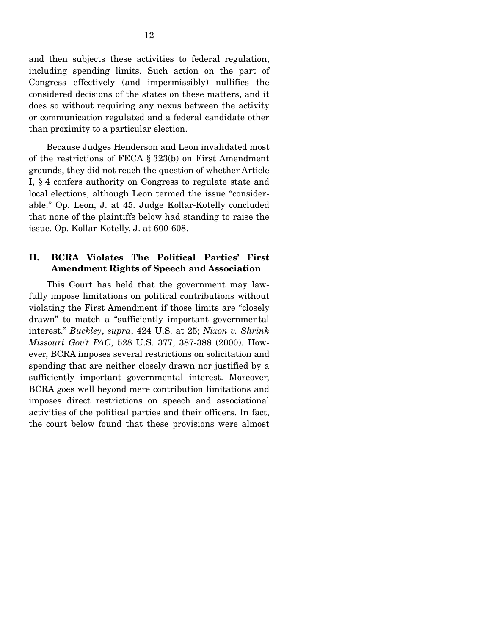and then subjects these activities to federal regulation, including spending limits. Such action on the part of Congress effectively (and impermissibly) nullifies the considered decisions of the states on these matters, and it does so without requiring any nexus between the activity or communication regulated and a federal candidate other than proximity to a particular election.

Because Judges Henderson and Leon invalidated most of the restrictions of FECA § 323(b) on First Amendment grounds, they did not reach the question of whether Article I, § 4 confers authority on Congress to regulate state and local elections, although Leon termed the issue "considerable." Op. Leon, J. at 45. Judge Kollar-Kotelly concluded that none of the plaintiffs below had standing to raise the issue. Op. Kollar-Kotelly, J. at 600-608.

### **II. BCRA Violates The Political Parties' First Amendment Rights of Speech and Association**

This Court has held that the government may lawfully impose limitations on political contributions without violating the First Amendment if those limits are "closely drawn" to match a "sufficiently important governmental interest." *Buckley*, *supra*, 424 U.S. at 25; *Nixon v. Shrink Missouri Gov't PAC*, 528 U.S. 377, 387-388 (2000). However, BCRA imposes several restrictions on solicitation and spending that are neither closely drawn nor justified by a sufficiently important governmental interest. Moreover, BCRA goes well beyond mere contribution limitations and imposes direct restrictions on speech and associational activities of the political parties and their officers. In fact, the court below found that these provisions were almost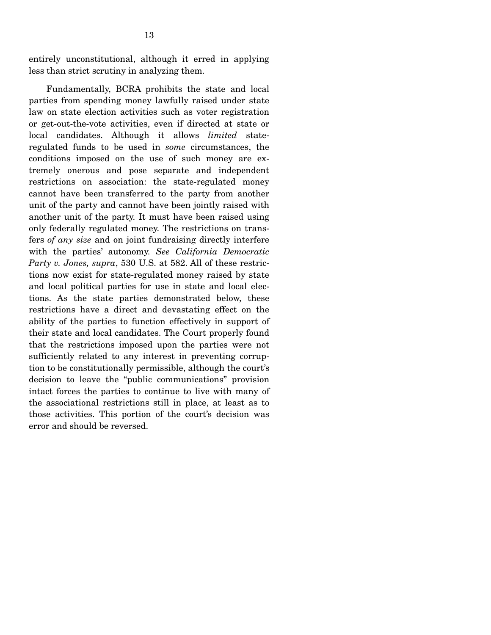entirely unconstitutional, although it erred in applying less than strict scrutiny in analyzing them.

Fundamentally, BCRA prohibits the state and local parties from spending money lawfully raised under state law on state election activities such as voter registration or get-out-the-vote activities, even if directed at state or local candidates. Although it allows *limited* stateregulated funds to be used in *some* circumstances, the conditions imposed on the use of such money are extremely onerous and pose separate and independent restrictions on association: the state-regulated money cannot have been transferred to the party from another unit of the party and cannot have been jointly raised with another unit of the party. It must have been raised using only federally regulated money. The restrictions on transfers *of any size* and on joint fundraising directly interfere with the parties' autonomy. *See California Democratic Party v. Jones, supra*, 530 U.S. at 582. All of these restrictions now exist for state-regulated money raised by state and local political parties for use in state and local elections. As the state parties demonstrated below, these restrictions have a direct and devastating effect on the ability of the parties to function effectively in support of their state and local candidates. The Court properly found that the restrictions imposed upon the parties were not sufficiently related to any interest in preventing corruption to be constitutionally permissible, although the court's decision to leave the "public communications" provision intact forces the parties to continue to live with many of the associational restrictions still in place, at least as to those activities. This portion of the court's decision was error and should be reversed.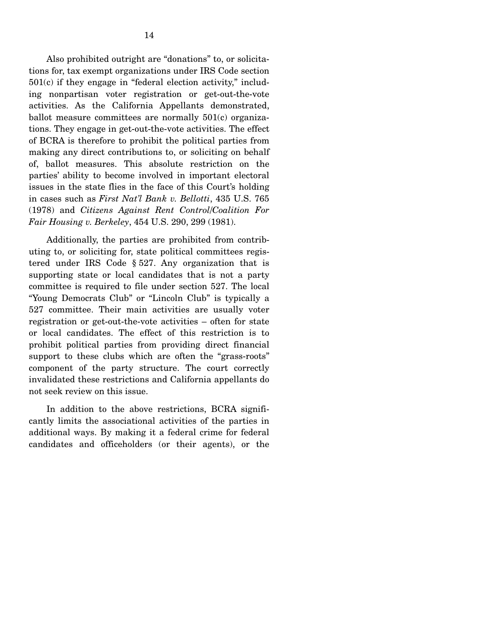Also prohibited outright are "donations" to, or solicitations for, tax exempt organizations under IRS Code section 501(c) if they engage in "federal election activity," including nonpartisan voter registration or get-out-the-vote activities. As the California Appellants demonstrated, ballot measure committees are normally 501(c) organizations. They engage in get-out-the-vote activities. The effect of BCRA is therefore to prohibit the political parties from making any direct contributions to, or soliciting on behalf of, ballot measures. This absolute restriction on the parties' ability to become involved in important electoral issues in the state flies in the face of this Court's holding in cases such as *First Nat'l Bank v. Bellotti*, 435 U.S. 765 (1978) and *Citizens Against Rent Control/Coalition For Fair Housing v. Berkeley*, 454 U.S. 290, 299 (1981).

Additionally, the parties are prohibited from contributing to, or soliciting for, state political committees registered under IRS Code § 527. Any organization that is supporting state or local candidates that is not a party committee is required to file under section 527. The local "Young Democrats Club" or "Lincoln Club" is typically a 527 committee. Their main activities are usually voter registration or get-out-the-vote activities – often for state or local candidates. The effect of this restriction is to prohibit political parties from providing direct financial support to these clubs which are often the "grass-roots" component of the party structure. The court correctly invalidated these restrictions and California appellants do not seek review on this issue.

In addition to the above restrictions, BCRA significantly limits the associational activities of the parties in additional ways. By making it a federal crime for federal candidates and officeholders (or their agents), or the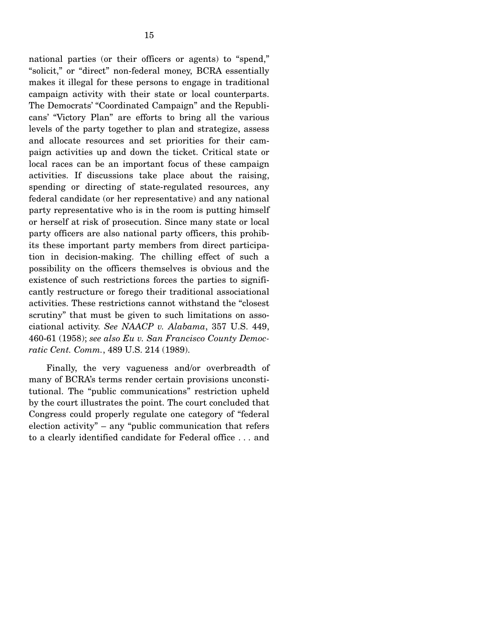national parties (or their officers or agents) to "spend," "solicit," or "direct" non-federal money, BCRA essentially makes it illegal for these persons to engage in traditional campaign activity with their state or local counterparts. The Democrats' "Coordinated Campaign" and the Republicans' "Victory Plan" are efforts to bring all the various levels of the party together to plan and strategize, assess and allocate resources and set priorities for their campaign activities up and down the ticket. Critical state or local races can be an important focus of these campaign activities. If discussions take place about the raising, spending or directing of state-regulated resources, any federal candidate (or her representative) and any national party representative who is in the room is putting himself or herself at risk of prosecution. Since many state or local party officers are also national party officers, this prohibits these important party members from direct participation in decision-making. The chilling effect of such a possibility on the officers themselves is obvious and the existence of such restrictions forces the parties to significantly restructure or forego their traditional associational activities. These restrictions cannot withstand the "closest scrutiny" that must be given to such limitations on associational activity. *See NAACP v. Alabama*, 357 U.S. 449, 460-61 (1958); *see also Eu v. San Francisco County Democratic Cent. Comm.*, 489 U.S. 214 (1989).

Finally, the very vagueness and/or overbreadth of many of BCRA's terms render certain provisions unconstitutional. The "public communications" restriction upheld by the court illustrates the point. The court concluded that Congress could properly regulate one category of "federal election activity" – any "public communication that refers to a clearly identified candidate for Federal office . . . and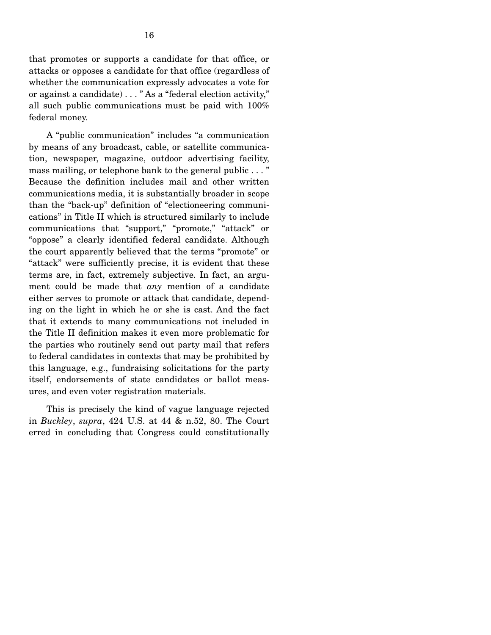that promotes or supports a candidate for that office, or attacks or opposes a candidate for that office (regardless of whether the communication expressly advocates a vote for or against a candidate) . . . " As a "federal election activity," all such public communications must be paid with 100% federal money.

A "public communication" includes "a communication by means of any broadcast, cable, or satellite communication, newspaper, magazine, outdoor advertising facility, mass mailing, or telephone bank to the general public . . . " Because the definition includes mail and other written communications media, it is substantially broader in scope than the "back-up" definition of "electioneering communications" in Title II which is structured similarly to include communications that "support," "promote," "attack" or "oppose" a clearly identified federal candidate. Although the court apparently believed that the terms "promote" or "attack" were sufficiently precise, it is evident that these terms are, in fact, extremely subjective. In fact, an argument could be made that *any* mention of a candidate either serves to promote or attack that candidate, depending on the light in which he or she is cast. And the fact that it extends to many communications not included in the Title II definition makes it even more problematic for the parties who routinely send out party mail that refers to federal candidates in contexts that may be prohibited by this language, e.g., fundraising solicitations for the party itself, endorsements of state candidates or ballot measures, and even voter registration materials.

This is precisely the kind of vague language rejected in *Buckley*, *supra*, 424 U.S. at 44 & n.52, 80. The Court erred in concluding that Congress could constitutionally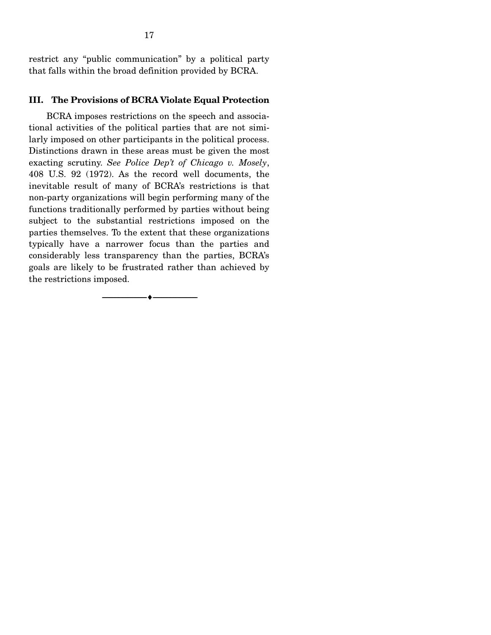restrict any "public communication" by a political party that falls within the broad definition provided by BCRA.

### **III. The Provisions of BCRA Violate Equal Protection**

BCRA imposes restrictions on the speech and associational activities of the political parties that are not similarly imposed on other participants in the political process. Distinctions drawn in these areas must be given the most exacting scrutiny. *See Police Dep't of Chicago v. Mosely*, 408 U.S. 92 (1972). As the record well documents, the inevitable result of many of BCRA's restrictions is that non-party organizations will begin performing many of the functions traditionally performed by parties without being subject to the substantial restrictions imposed on the parties themselves. To the extent that these organizations typically have a narrower focus than the parties and considerably less transparency than the parties, BCRA's goals are likely to be frustrated rather than achieved by the restrictions imposed.

----------------------------- ------------------------------

----♦-- -